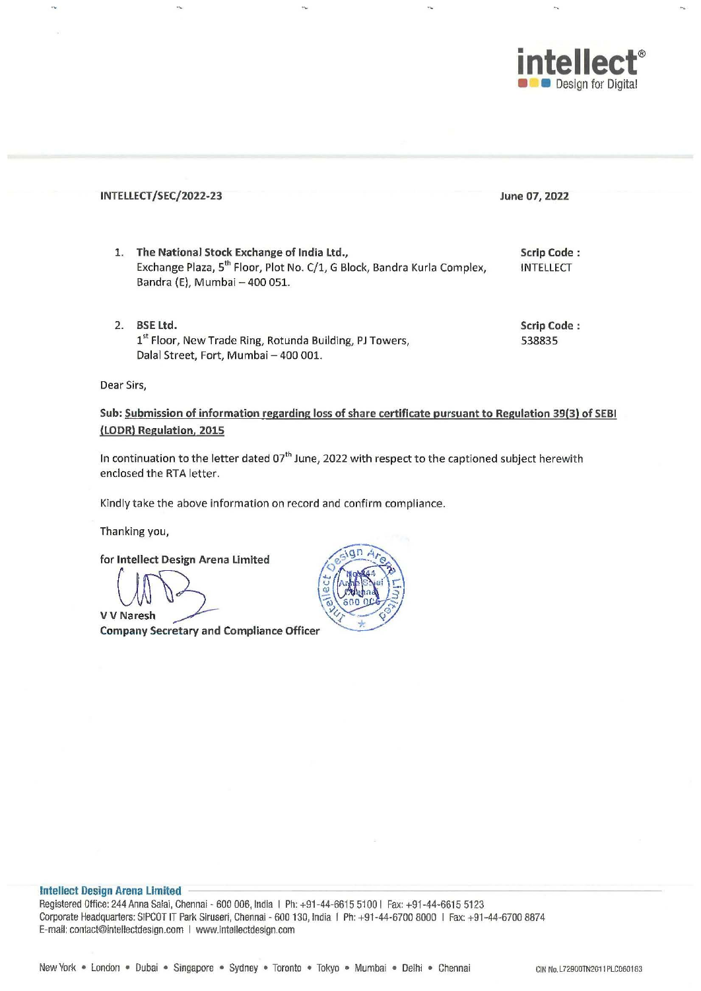

|    | INTELLECT/SEC/2022-23                                                                                                                                              | June 07, 2022                          |
|----|--------------------------------------------------------------------------------------------------------------------------------------------------------------------|----------------------------------------|
| 1. | The National Stock Exchange of India Ltd.,<br>Exchange Plaza, 5 <sup>th</sup> Floor, Plot No. C/1, G Block, Bandra Kurla Complex,<br>Bandra (E), Mumbai - 400 051. | <b>Scrip Code:</b><br><b>INTELLECT</b> |
| 2. | <b>BSE Ltd.</b><br>1 <sup>st</sup> Floor, New Trade Ring, Rotunda Building, PJ Towers,<br>Dalal Street, Fort, Mumbai - 400 001.                                    | Scrip Code:<br>538835                  |

**Dear Sirs,**

Sub: Submission of information regarding loss of share certificate pursuant to Regulation 39(3) of SEBI (LODR) Regulation. 2015

In continuation to the letter dated 07<sup>th</sup> June, 2022 with respect to the captioned subject herewith enclosed the RTA letter.

Kindly take the above information on record and confirm compliance.

Thanking you,

for Intellect Design Arena Limited

v V Naresh

Company Secretary and Compliance Officer